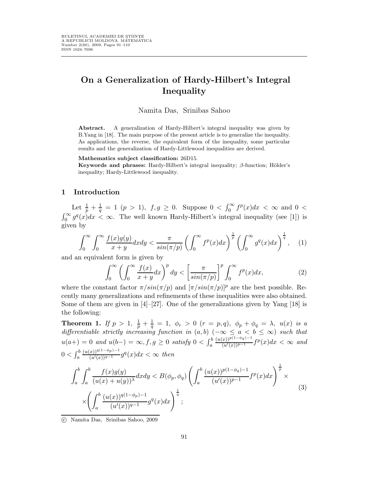# On a Generalization of Hardy-Hilbert's Integral Inequality

#### Namita Das, Srinibas Sahoo

Abstract. A generalization of Hardy-Hilbert's integral inequality was given by B.Yang in [18]. The main purpose of the present article is to generalize the inequality. As applications, the reverse, the equivalent form of the inequality, some particular results and the generalization of Hardy-Littlewood inequalities are derived.

#### Mathematics subject classification: 26D15.

Keywords and phrases: Hardy-Hilbert's integral inequality;  $\beta$ -function; Hölder's inequality; Hardy-Littlewood inequality.

## 1 Introduction

Let  $\frac{1}{p} + \frac{1}{q} = 1$   $(p > 1)$ ,  $f, g \ge 0$ . Suppose  $0 < \int_0^\infty f^p(x) dx < \infty$  and  $0 <$  $\int_0^\infty g^q(x)dx < \infty$ . The well known Hardy-Hilbert's integral inequality (see [1]) is given by

$$
\int_0^\infty \int_0^\infty \frac{f(x)g(y)}{x+y} dx dy < \frac{\pi}{\sin(\pi/p)} \left( \int_0^\infty f^p(x) dx \right)^{\frac{1}{p}} \left( \int_0^\infty g^q(x) dx \right)^{\frac{1}{q}}, \quad (1)
$$

and an equivalent form is given by

$$
\int_0^\infty \left(\int_0^\infty \frac{f(x)}{x+y}dx\right)^p dy < \left[\frac{\pi}{\sin(\pi/p)}\right]^p \int_0^\infty f^p(x)dx,\tag{2}
$$

where the constant factor  $\pi/sin(\pi/p)$  and  $[\pi/sin(\pi/p)]^p$  are the best possible. Recently many generalizations and refinements of these inequalities were also obtained. Some of them are given in  $[4]-[27]$ . One of the generalizations given by Yang [18] is the following:

Theorem 1. If  $p > 1, \ \frac{1}{p} + \frac{1}{q}$  $\frac{1}{q} = 1, \ \phi_r > 0 \ \ (r = p, q), \ \ \phi_p + \phi_q = \lambda, \ \ u(x) \ \ is \ \ a$ differentiable strictly increasing function in  $(a, b)$  ( $-\infty \le a < b \le \infty$ ) such that  $u(a+) = 0$  and  $u(b-) = \infty, f, g \ge 0$  satisfy  $0 < \int_a^b$  $\frac{(u(x))^{p(1-\phi_q)-1}}{(u'(x))^{p-1}}f^p(x)dx < \infty$  and  $0<\int_a^b$  $\frac{(u(x))^{q(1-\phi_p)-1}}{(u'(x))^{q-1}}g^q(x)dx < \infty$  then

$$
\int_{a}^{b} \int_{a}^{b} \frac{f(x)g(y)}{(u(x) + u(y))^\lambda} dxdy \le B(\phi_p, \phi_q) \left( \int_{a}^{b} \frac{(u(x))^{p(1-\phi_q)-1}}{(u'(x))^{p-1}} f^p(x) dx \right)^{\frac{1}{p}} \times \\ \times \left( \int_{a}^{b} \frac{(u(x))^{q(1-\phi_p)-1}}{(u'(x))^{q-1}} g^q(x) dx \right)^{\frac{1}{q}};
$$
\n(3)

c Namita Das, Srinibas Sahoo, 2009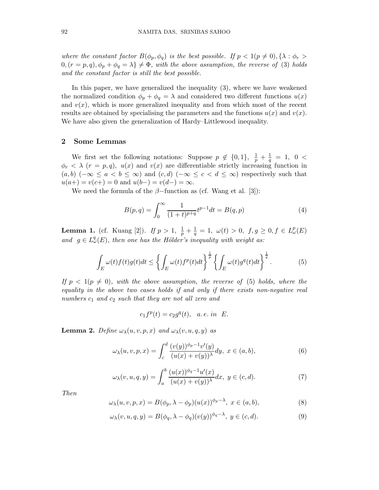where the constant factor  $B(\phi_p, \phi_q)$  is the best possible. If  $p < 1(p \neq 0), \{\lambda : \phi_r > \lambda \}$  $0, (r = p, q), \phi_p + \phi_q = \lambda \} \neq \Phi$ , with the above assumption, the reverse of (3) holds and the constant factor is still the best possible.

In this paper, we have generalized the inequality (3), where we have weakened the normalized condition  $\phi_p + \phi_q = \lambda$  and considered two different functions  $u(x)$ and  $v(x)$ , which is more generalized inequality and from which most of the recent results are obtained by specialising the parameters and the functions  $u(x)$  and  $v(x)$ . We have also given the generalization of Hardy–Littlewood inequality.

# 2 Some Lemmas

We first set the following notations: Suppose  $p \notin \{0,1\}, \frac{1}{p} + \frac{1}{q}$  $\frac{1}{q} = 1, 0 <$  $\phi_r < \lambda$  ( $r = p, q$ ),  $u(x)$  and  $v(x)$  are differentiable strictly increasing function in  $(a, b)$  ( $-\infty \le a < b \le \infty$ ) and  $(c, d)$  ( $-\infty \le c < d \le \infty$ ) respectively such that  $u(a+) = v(c+) = 0$  and  $u(b-) = v(d-) = \infty$ .

We need the formula of the  $\beta$ -function as (cf. Wang et al. [3]):

$$
B(p,q) = \int_0^\infty \frac{1}{(1+t)^{p+q}} t^{p-1} dt = B(q,p)
$$
 (4)

**Lemma 1.** (cf. Kuang [2]). If  $p > 1$ ,  $\frac{1}{p} + \frac{1}{q}$  $\frac{1}{q} = 1, \ \omega(t) > 0, \ f, g \ge 0, f \in L^p_\omega(E)$ and  $g \in L^q_\omega(E)$ , then one has the Hölder's inequality with weight as:

$$
\int_{E} \omega(t) f(t) g(t) dt \leq \left\{ \int_{E} \omega(t) f^{p}(t) dt \right\}^{\frac{1}{p}} \left\{ \int_{E} \omega(t) g^{q}(t) dt \right\}^{\frac{1}{q}}.
$$
\n(5)

If  $p < 1(p \neq 0)$ , with the above assumption, the reverse of (5) holds, where the equality in the above two cases holds if and only if there exists non-negative real numbers  $c_1$  and  $c_2$  such that they are not all zero and

$$
c_1 f^p(t) = c_2 g^q(t), \quad a. e. \text{ in } E.
$$

**Lemma 2.** Define  $\omega_{\lambda}(u, v, p, x)$  and  $\omega_{\lambda}(v, u, q, y)$  as

$$
\omega_{\lambda}(u,v,p,x) = \int_{c}^{d} \frac{(v(y))^{\phi_p - 1} v'(y)}{(u(x) + v(y))^{\lambda}} dy, \ x \in (a,b),
$$
\n(6)

$$
\omega_{\lambda}(v, u, q, y) = \int_{a}^{b} \frac{(u(x))^{\phi_q - 1} u'(x)}{(u(x) + v(y))^{\lambda}} dx, y \in (c, d).
$$
 (7)

Then

$$
\omega_{\lambda}(u,v,p,x) = B(\phi_p, \lambda - \phi_p)(u(x))^{\phi_p - \lambda}, \ x \in (a,b), \tag{8}
$$

$$
\omega_{\lambda}(v, u, q, y) = B(\phi_q, \lambda - \phi_q)(v(y))^{\phi_q - \lambda}, \ y \in (c, d).
$$
\n(9)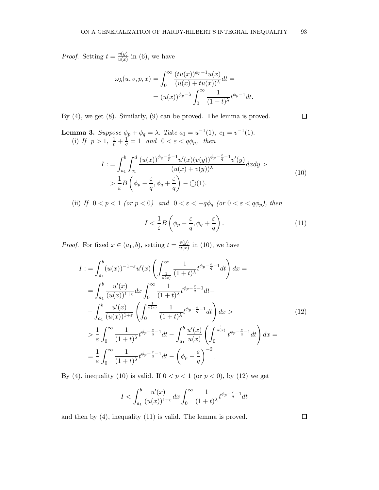*Proof.* Setting  $t = \frac{v(y)}{u(x)}$  $\frac{v(y)}{u(x)}$  in (6), we have

$$
\omega_{\lambda}(u, v, p, x) = \int_0^{\infty} \frac{(tu(x))^{\phi_p - 1} u(x)}{(u(x) + tu(x))^{\lambda}} dt =
$$

$$
= (u(x))^{\phi_p - \lambda} \int_0^{\infty} \frac{1}{(1+t)^{\lambda}} t^{\phi_p - 1} dt.
$$

By (4), we get (8). Similarly, (9) can be proved. The lemma is proved.

**Lemma 3.** Suppose  $\phi_p + \phi_q = \lambda$ . Take  $a_1 = u^{-1}(1)$ ,  $c_1 = v^{-1}(1)$ . (i) If  $p > 1$ ,  $\frac{1}{p} + \frac{1}{q}$  $\frac{1}{q} = 1$  and  $0 < \varepsilon < q\phi_p$ , then

$$
I := \int_{a_1}^{b} \int_{c_1}^{d} \frac{(u(x))^{\phi_q - \frac{\varepsilon}{p} - 1} u'(x)(v(y))^{\phi_p - \frac{\varepsilon}{q} - 1} v'(y)}{(u(x) + v(y))^{\lambda}} dx dy >
$$
  
> 
$$
\frac{1}{\varepsilon} B \left( \phi_p - \frac{\varepsilon}{q}, \phi_q + \frac{\varepsilon}{q} \right) - \bigcirc(1).
$$
 (10)

(ii) If  $0 < p < 1$  (or  $p < 0$ ) and  $0 < \varepsilon < -q\phi_q$  (or  $0 < \varepsilon < q\phi_p$ ), then

$$
I < \frac{1}{\varepsilon} B\left(\phi_p - \frac{\varepsilon}{q}, \phi_q + \frac{\varepsilon}{q}\right). \tag{11}
$$

*Proof.* For fixed  $x \in (a_1, b)$ , setting  $t = \frac{v(y)}{u(x)}$  $\frac{v(y)}{u(x)}$  in (10), we have

$$
I := \int_{a_1}^{b} (u(x))^{-1-\epsilon} u'(x) \left( \int_{\frac{1}{u(x)}}^{\infty} \frac{1}{(1+t)^{\lambda}} t^{\phi_p - \frac{\epsilon}{q} - 1} dt \right) dx =
$$
  
\n
$$
= \int_{a_1}^{b} \frac{u'(x)}{(u(x))^{1+\epsilon}} dx \int_{0}^{\infty} \frac{1}{(1+t)^{\lambda}} t^{\phi_p - \frac{\epsilon}{q} - 1} dt -
$$
  
\n
$$
- \int_{a_1}^{b} \frac{u'(x)}{(u(x))^{1+\epsilon}} \left( \int_{0}^{\frac{1}{u(x)}} \frac{1}{(1+t)^{\lambda}} t^{\phi_p - \frac{\epsilon}{q} - 1} dt \right) dx >
$$
  
\n
$$
> \frac{1}{\epsilon} \int_{0}^{\infty} \frac{1}{(1+t)^{\lambda}} t^{\phi_p - \frac{\epsilon}{q} - 1} dt - \int_{a_1}^{b} \frac{u'(x)}{u(x)} \left( \int_{0}^{\frac{1}{u(x)}} t^{\phi_p - \frac{\epsilon}{q} - 1} dt \right) dx =
$$
  
\n
$$
= \frac{1}{\epsilon} \int_{0}^{\infty} \frac{1}{(1+t)^{\lambda}} t^{\phi_p - \frac{\epsilon}{q} - 1} dt - \left( \phi_p - \frac{\epsilon}{q} \right)^{-2}.
$$
  
\n(12)

By (4), inequality (10) is valid. If  $0 < p < 1$  (or  $p < 0$ ), by (12) we get

$$
I < \int_{a_1}^b \frac{u'(x)}{(u(x))^{1+\varepsilon}} dx \int_0^\infty \frac{1}{(1+t)^\lambda} t^{\phi_p - \frac{\varepsilon}{q} - 1} dt
$$

and then by (4), inequality (11) is valid. The lemma is proved.

 $\Box$ 

 $\Box$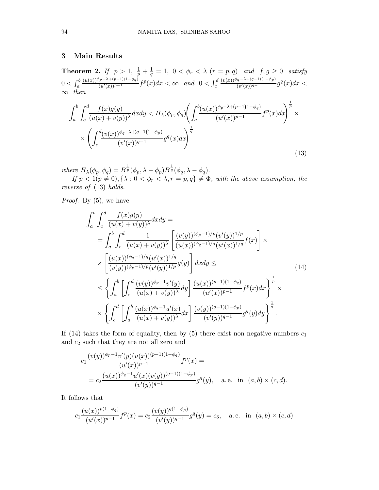# 3 Main Results

**Theorem 2.** If  $p > 1$ ,  $\frac{1}{p} + \frac{1}{q}$  $\frac{1}{q}=1, 0<\phi_r<\lambda\ (r=p,q) \ \ \textit{and} \ \ f,g\geq 0 \ \ \textit{satisfy}$  $0<\int_a^b$  $\frac{(u(x))^{\phi_p-\lambda+(p-1)(1-\phi_q)}}{(u'(x))^{p-1}}f^p(x)dx < \infty$  and  $0 < \int_c^d$  $(v(x))^{\phi_q - \lambda + (q-1)(1-\phi_p)}$  $\frac{q^{(q-x)+(q-1)(1-\varphi p)}}{(v'(x))^{q-1}}g^q(x)dx <$  $∞$  then

$$
\int_{a}^{b} \int_{c}^{d} \frac{f(x)g(y)}{(u(x)+v(y))^\lambda} dxdy \leq H_{\lambda}(\phi_p, \phi_q) \left( \int_{a}^{b} \frac{(u(x))^{\phi_p - \lambda + (p-1)(1-\phi_q)}}{(u'(x))^{p-1}} f^p(x) dx \right)^{\frac{1}{p}} \times \left( \int_{c}^{d} \frac{(v(x))^{\phi_q - \lambda + (q-1)(1-\phi_p)}}{(v'(x))^{q-1}} g^q(x) dx \right)^{\frac{1}{q}}
$$
\n
$$
(13)
$$

where  $H_{\lambda}(\phi_p, \phi_q) = B^{\frac{1}{p}}(\phi_p, \lambda - \phi_p)B^{\frac{1}{q}}(\phi_q, \lambda - \phi_q).$ 

If  $p < 1(p \neq 0), \{\lambda : 0 < \phi_r < \lambda, r = p, q\} \neq \Phi$ , with the above assumption, the reverse of (13) holds.

Proof. By (5), we have

$$
\int_{a}^{b} \int_{c}^{d} \frac{f(x)g(y)}{(u(x)+v(y))^{\lambda}} dxdy =
$$
\n
$$
= \int_{a}^{b} \int_{c}^{d} \frac{1}{(u(x)+v(y))^{\lambda}} \left[ \frac{(v(y))^{(\phi_{p}-1)/p} (v'(y))^{1/p}}{(u(x))^{(\phi_{q}-1)/q} (u'(x))^{1/q}} f(x) \right] \times
$$
\n
$$
\times \left[ \frac{(u(x))^{(\phi_{p}-1)/q} (u'(x))^{1/q}}{(v(y))^{(\phi_{p}-1)/p} (v'(y))^{1/p}} g(y) \right] dxdy \leq \qquad (14)
$$
\n
$$
\leq \left\{ \int_{a}^{b} \left[ \int_{c}^{d} \frac{(v(y))^{(\phi_{p}-1)} v'(y)}{(u(x)+v(y))^{\lambda}} dy \right] \frac{(u(x))^{(p-1)(1-\phi_{q})}}{(u'(x))^{p-1}} f^{p}(x) dx \right\}^{\frac{1}{p}} \times
$$
\n
$$
\times \left\{ \int_{c}^{d} \left[ \int_{a}^{b} \frac{(u(x))^{(\phi_{q}-1)} u'(x)}{(u(x)+v(y))^{\lambda}} dx \right] \frac{(v(y))^{(q-1)(1-\phi_{p})}}{(v'(y))^{q-1}} g^{q}(y) dy \right\}^{\frac{1}{q}}.
$$

If (14) takes the form of equality, then by (5) there exist non negative numbers  $c_1$ and  $c_2$  such that they are not all zero and

$$
c_1 \frac{(v(y))^{\phi_p - 1} v'(y)(u(x))^{(p-1)(1-\phi_q)}}{(u'(x))^{p-1}} f^p(x) =
$$
  
= 
$$
c_2 \frac{(u(x))^{\phi_q - 1} u'(x)(v(y))^{(q-1)(1-\phi_p)}}{(v'(y))^{q-1}} g^q(y),
$$
 a.e. in  $(a, b) \times (c, d)$ .

It follows that

$$
c_1 \frac{(u(x))^{p(1-\phi_q)}}{(u'(x))^{p-1}} f^p(x) = c_2 \frac{(v(y))^{q(1-\phi_p)}}{(v'(y))^{q-1}} g^q(y) = c_3, \quad \text{a.e. in } (a, b) \times (c, d)
$$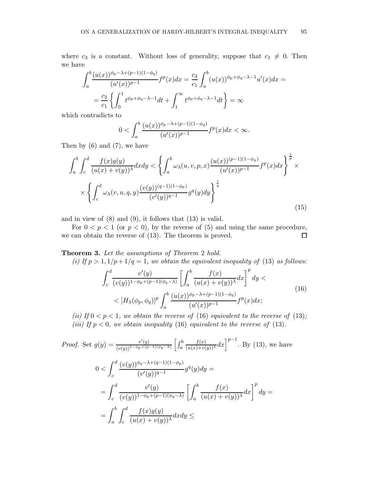where  $c_3$  is a constant. Without loss of generality, suppose that  $c_1 \neq 0$ . Then we have

$$
\int_{a}^{b} \frac{(u(x))^{\phi_p - \lambda + (p-1)(1-\phi_q)}}{(u'(x))^{p-1}} f^p(x) dx = \frac{c_3}{c_1} \int_{a}^{b} (u(x))^{\phi_p + \phi_q - \lambda - 1} u'(x) dx =
$$
  
=  $\frac{c_3}{c_1} \left\{ \int_{0}^{1} t^{\phi_p + \phi_q - \lambda - 1} dt + \int_{1}^{\infty} t^{\phi_p + \phi_q - \lambda - 1} dt \right\} = \infty$ 

which contradicts to

$$
0 < \int_{a}^{b} \frac{(u(x))^{\phi_p - \lambda + (p-1)(1-\phi_q)}}{(u'(x))^{p-1}} f^p(x) dx < \infty.
$$

Then by  $(6)$  and  $(7)$ , we have

$$
\int_{a}^{b} \int_{c}^{d} \frac{f(x)g(y)}{(u(x) + v(y))^\lambda} dxdy < \left\{ \int_{a}^{b} \omega_{\lambda}(u, v, p, x) \frac{(u(x))^{(p-1)(1-\phi_{q})}}{(u'(x))^{p-1}} f^{p}(x) dx \right\}^{\frac{1}{p}} \times \times \left\{ \int_{c}^{d} \omega_{\lambda}(v, u, q, y) \frac{(v(y))^{(q-1)(1-\phi_{p})}}{(v'(y))^{q-1}} g^{q}(y) dy \right\}^{\frac{1}{q}}
$$
\n(15)

and in view of (8) and (9), it follows that (13) is valid.

For  $0 < p < 1$  (or  $p < 0$ ), by the reverse of (5) and using the same procedure, we can obtain the reverse of (13). The theorem is proved.  $\Box$ 

Theorem 3. Let the assumptions of Theorem 2 hold.

(i) If  $p > 1$ ,  $1/p + 1/q = 1$ , we obtain the equivalent inequality of (13) as follows:

$$
\int_{c}^{d} \frac{v'(y)}{(v(y))^{1-\phi_p+(p-1)(\phi_q-\lambda)}} \left[ \int_{a}^{b} \frac{f(x)}{(u(x)+v(y))^\lambda} dx \right]^p dy \n< [H_\lambda(\phi_p, \phi_q)]^p \int_{a}^{b} \frac{(u(x))^{\phi_p-\lambda+(p-1)(1-\phi_q)}}{(u'(x))^{p-1}} f^p(x) dx;
$$
\n(16)

(ii) If  $0 < p < 1$ , we obtain the reverse of (16) equivalent to the reverse of (13); (iii) If  $p < 0$ , we obtain inequality (16) equivalent to the reverse of (13).

Proof. Set 
$$
g(y) = \frac{v'(y)}{(v(y))^{1-\phi_p+(p-1)(\phi_q-\lambda)}} \left[ \int_a^b \frac{f(x)}{(u(x)+v(y))^\lambda} dx \right]^{p-1}
$$
. By (13), we have  
\n
$$
0 < \int_c^d \frac{(v(y))^{\phi_q-\lambda+(q-1)(1-\phi_p)}}{(v'(y))^{q-1}} g^q(y) dy =
$$
\n
$$
= \int_c^d \frac{v'(y)}{(v(y))^{1-\phi_p+(p-1)(\phi_q-\lambda)}} \left[ \int_a^b \frac{f(x)}{(u(x)+v(y))^\lambda} dx \right]^p dy =
$$
\n
$$
= \int_a^b \int_c^d \frac{f(x)g(y)}{(u(x)+v(y))^\lambda} dx dy \le
$$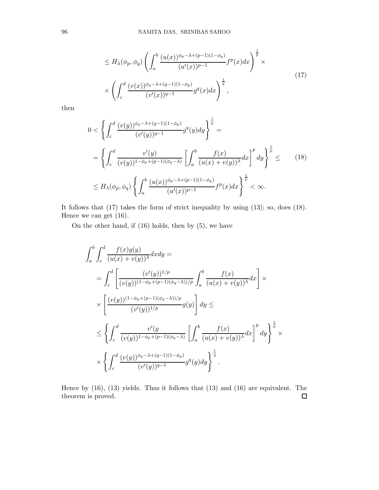$$
\leq H_{\lambda}(\phi_p, \phi_q) \left( \int_a^b \frac{(u(x))^{\phi_p - \lambda + (p-1)(1-\phi_q)}}{(u'(x))^{p-1}} f^p(x) dx \right)^{\frac{1}{p}} \times \left( \int_c^d \frac{(v(x))^{\phi_q - \lambda + (q-1)(1-\phi_p)}}{(v'(x))^{q-1}} g^q(x) dx \right)^{\frac{1}{q}},
$$
\n(17)

then

$$
0 < \left\{ \int_{c}^{d} \frac{(v(y))^{\phi_q - \lambda + (q-1)(1-\phi_p)}}{(v'(y))^{q-1}} g^q(y) dy \right\}^{\frac{1}{p}} =
$$
  
\n
$$
= \left\{ \int_{c}^{d} \frac{v'(y)}{(v(y))^{1-\phi_p+(p-1)(\phi_q - \lambda)}} \left[ \int_{a}^{b} \frac{f(x)}{(u(x)+v(y))^{\lambda}} dx \right]^p dy \right\}^{\frac{1}{p}} \leq \qquad (18)
$$
  
\n
$$
\leq H_{\lambda}(\phi_p, \phi_q) \left\{ \int_{a}^{b} \frac{(u(x))^{\phi_p - \lambda + (p-1)(1-\phi_q)}}{(u'(x))^{p-1}} f^p(x) dx \right\}^{\frac{1}{p}} < \infty.
$$

It follows that (17) takes the form of strict inequality by using (13); so, does (18). Hence we can get (16).

On the other hand, if (16) holds, then by (5), we have

$$
\int_{a}^{b} \int_{c}^{d} \frac{f(x)g(y)}{(u(x)+v(y))^{\lambda}} dx dy =
$$
\n
$$
= \int_{c}^{d} \left[ \frac{(v'(y))^{1/p}}{(v(y))^{(1-\phi_{p}+(p-1)(\phi_{q}-\lambda))/p}} \int_{a}^{b} \frac{f(x)}{(u(x)+v(y))^{\lambda}} dx \right] \times
$$
\n
$$
\times \left[ \frac{(v(y))^{(1-\phi_{p}+(p-1)(\phi_{q}-\lambda))/p}}{(v'(y))^{1/p}} g(y) \right] dy \le
$$
\n
$$
\leq \left\{ \int_{c}^{d} \frac{v'(y)}{(v(y))^{1-\phi_{p}+(p-1)(\phi_{q}-\lambda)}} \left[ \int_{a}^{b} \frac{f(x)}{(u(x)+v(y))^{\lambda}} dx \right]^{p} dy \right\}^{\frac{1}{p}} \times
$$
\n
$$
\times \left\{ \int_{c}^{d} \frac{(v(y))^{\phi_{q}-\lambda+(q-1)(1-\phi_{p})}}{(v'(y))^{q-1}} g^{q}(y) dy \right\}^{\frac{1}{q}}.
$$

Hence by (16), (13) yields. Thus it follows that (13) and (16) are equivalent. The theorem is proved. $\Box$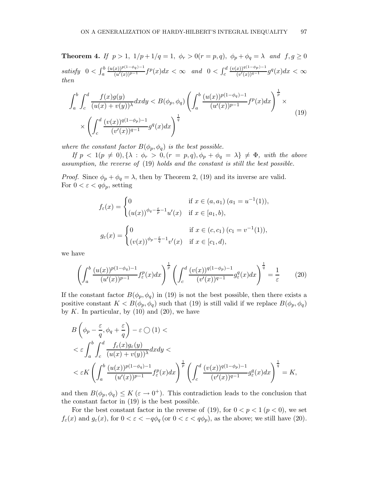**Theorem 4.** If  $p > 1$ ,  $1/p + 1/q = 1$ ,  $\phi_r > 0$   $(r = p, q)$ ,  $\phi_p + \phi_q = \lambda$  and  $f, g \ge 0$ satisfy  $0 < \int_a^b$  $\frac{(u(x))^{p(1-\phi_q)-1}}{(u'(x))^{p-1}}f^p(x)dx < \infty$  and  $0 < \int_c^d$  $(v(x))^{q(1-\phi_p)-1}$  $\frac{(x)(y^{q(1-\varphi p)-1})}{(v'(x))^{q-1}}g^q(x)dx < \infty$ then

$$
\int_{a}^{b} \int_{c}^{d} \frac{f(x)g(y)}{(u(x) + v(y))^\lambda} dxdy \le B(\phi_p, \phi_q) \left( \int_{a}^{b} \frac{(u(x))^{p(1-\phi_q)-1}}{(u'(x))^{p-1}} f^p(x) dx \right)^{\frac{1}{p}} \times \left( \int_{c}^{d} \frac{(v(x))^{q(1-\phi_p)-1}}{(v'(x))^{q-1}} g^q(x) dx \right)^{\frac{1}{q}}
$$
\n(19)

where the constant factor  $B(\phi_p, \phi_q)$  is the best possible.

If  $p < 1(p \neq 0), \{\lambda : \phi_r > 0, (r = p, q), \phi_p + \phi_q = \lambda\} \neq \Phi$ , with the above assumption, the reverse of (19) holds and the constant is still the best possible.

*Proof.* Since  $\phi_p + \phi_q = \lambda$ , then by Theorem 2, (19) and its inverse are valid. For  $0 < \varepsilon < q\phi_p$ , setting

$$
f_{\varepsilon}(x) = \begin{cases} 0 & \text{if } x \in (a, a_1) (a_1 = u^{-1}(1)), \\ (u(x))^{\phi_q - \frac{\varepsilon}{p} - 1} u'(x) & \text{if } x \in [a_1, b), \end{cases}
$$

$$
g_{\varepsilon}(x) = \begin{cases} 0 & \text{if } x \in (c, c_1) (c_1 = v^{-1}(1)), \\ (v(x))^{\phi_p - \frac{\varepsilon}{q} - 1} v'(x) & \text{if } x \in [c_1, d), \end{cases}
$$

we have

$$
\left(\int_{a}^{b} \frac{(u(x))^{p(1-\phi_{q})-1}}{(u'(x))^{p-1}} f_{\varepsilon}^{p}(x) dx\right)^{\frac{1}{p}} \left(\int_{c}^{d} \frac{(v(x))^{q(1-\phi_{p})-1}}{(v'(x))^{q-1}} g_{\varepsilon}^{q}(x) dx\right)^{\frac{1}{q}} = \frac{1}{\varepsilon}
$$
(20)

If the constant factor  $B(\phi_p, \phi_q)$  in (19) is not the best possible, then there exists a positive constant  $K < B(\phi_p, \phi_q)$  such that (19) is still valid if we replace  $B(\phi_p, \phi_q)$ by K. In particular, by  $(10)$  and  $(20)$ , we have

$$
B\left(\phi_p - \frac{\varepsilon}{q}, \phi_q + \frac{\varepsilon}{q}\right) - \varepsilon \bigcirc (1) \n
$$
< \varepsilon \int_a^b \int_c^d \frac{f_{\varepsilon}(x)g_{\varepsilon}(y)}{(u(x) + v(y))^{\lambda}} dxdy \n< \varepsilon K \left( \int_a^b \frac{(u(x))^{p(1-\phi_q)-1}}{(u'(x))^{p-1}} f_{\varepsilon}^p(x) dx \right)^{\frac{1}{p}} \left( \int_c^d \frac{(v(x))^{q(1-\phi_p)-1}}{(v'(x))^{q-1}} g_{\varepsilon}^q(x) dx \right)^{\frac{1}{q}} = K,
$$
$$

and then  $B(\phi_p, \phi_q) \leq K (\varepsilon \to 0^+)$ . This contradiction leads to the conclusion that the constant factor in (19) is the best possible.

For the best constant factor in the reverse of (19), for  $0 < p < 1$  ( $p < 0$ ), we set  $f_{\varepsilon}(x)$  and  $g_{\varepsilon}(x)$ , for  $0 < \varepsilon < -q\phi_q$  (or  $0 < \varepsilon < q\phi_p$ ), as the above; we still have (20).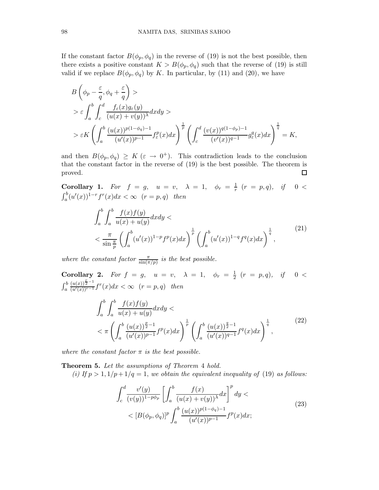If the constant factor  $B(\phi_p, \phi_q)$  in the reverse of (19) is not the best possible, then there exists a positive constant  $K > B(\phi_p, \phi_q)$  such that the reverse of (19) is still valid if we replace  $B(\phi_p, \phi_q)$  by K. In particular, by (11) and (20), we have

$$
B\left(\phi_p - \frac{\varepsilon}{q}, \phi_q + \frac{\varepsilon}{q}\right) >
$$
  
>  $\varepsilon \int_a^b \int_c^d \frac{f_{\varepsilon}(x)g_{\varepsilon}(y)}{(u(x) + v(y))^{\lambda}} dxdy >$   
>  $\varepsilon K \left(\int_a^b \frac{(u(x))^{p(1-\phi_q)-1}}{(u'(x))^{p-1}} f_{\varepsilon}^p(x) dx\right)^{\frac{1}{p}} \left(\int_c^d \frac{(v(x))^{q(1-\phi_p)-1}}{(v'(x))^{q-1}} g_{\varepsilon}^q(x) dx\right)^{\frac{1}{q}} = K,$ 

and then  $B(\phi_p, \phi_q) \geq K (\varepsilon \to 0^+).$  This contradiction leads to the conclusion that the constant factor in the reverse of (19) is the best possible. The theorem is proved.  $\Box$ 

**Corollary 1.** For  $f = g$ ,  $u = v$ ,  $\lambda = 1$ ,  $\phi_r = \frac{1}{r}$  $\frac{1}{r}(r = p, q), \quad if \quad 0 <$  $\int_a^b (u'(x))^{1-r} f^r(x) dx < \infty$   $(r = p, q)$  then

$$
\int_{a}^{b} \int_{a}^{b} \frac{f(x)f(y)}{u(x) + u(y)} dxdy \n< \frac{\pi}{\sin{\frac{\pi}{p}}} \left( \int_{a}^{b} (u'(x))^{1-p} f^p(x) dx \right)^{\frac{1}{p}} \left( \int_{a}^{b} (u'(x))^{1-q} f^q(x) dx \right)^{\frac{1}{q}},
$$
\n(21)

where the constant factor  $\frac{\pi}{\sin(\pi/p)}$  is the best possible.

**Corollary 2.** For  $f = g$ ,  $u = v$ ,  $\lambda = 1$ ,  $\phi_r = \frac{1}{2}$  $\frac{1}{2}$   $(r = p, q), \quad if \quad 0 <$  $\int_a^b$  $\frac{(u(x))^{\frac{r}{2}-1}}{(u'(x))^{r-1}}f^r(x)dx < \infty$   $(r = p, q)$  then

$$
\int_{a}^{b} \int_{a}^{b} \frac{f(x)f(y)}{u(x) + u(y)} dx dy \n< \pi \left( \int_{a}^{b} \frac{(u(x))^{p-1}}{(u'(x))^{p-1}} f^{p}(x) dx \right)^{\frac{1}{p}} \left( \int_{a}^{b} \frac{(u(x))^{p-1}}{(u'(x))^{q-1}} f^{q}(x) dx \right)^{\frac{1}{q}},
$$
\n(22)

where the constant factor  $\pi$  is the best possible.

Theorem 5. Let the assumptions of Theorem 4 hold.

(i) If  $p > 1$ ,  $1/p + 1/q = 1$ , we obtain the equivalent inequality of (19) as follows:

$$
\int_{c}^{d} \frac{v'(y)}{(v(y))^{1-p\phi_p}} \left[ \int_{a}^{b} \frac{f(x)}{(u(x)+v(y))^\lambda} dx \right]^p dy \n< [B(\phi_p, \phi_q)]^p \int_{a}^{b} \frac{(u(x))^{p(1-\phi_q)-1}}{(u'(x))^{p-1}} f^p(x) dx;
$$
\n(23)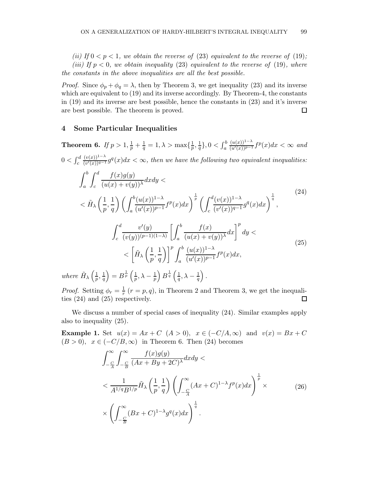(ii) If  $0 < p < 1$ , we obtain the reverse of (23) equivalent to the reverse of (19); (iii) If  $p < 0$ , we obtain inequality (23) equivalent to the reverse of (19), where the constants in the above inequalities are all the best possible.

*Proof.* Since  $\phi_p + \phi_q = \lambda$ , then by Theorem 3, we get inequality (23) and its inverse which are equivalent to (19) and its inverse accordingly. By Theorem-4, the constants in (19) and its inverse are best possible, hence the constants in (23) and it's inverse are best possible. The theorem is proved.  $\Box$ 

#### 4 Some Particular Inequalities

Theorem 6. If  $p>1, \frac{1}{p}+\frac{1}{q}$  $\frac{1}{q} = 1, \lambda > \max\{\frac{1}{p}$  $\frac{1}{p},\frac{1}{q}$  $\frac{1}{q}\}, 0 < \int_a^b$  $\frac{(u(x))^{1-\lambda}}{(u'(x))^{p-1}}$   $f^p(x)dx < \infty$  and  $0 < \int_{c}^{d}$  $(v(x))^{1-\lambda}$  $\frac{(v(x))^{1-\alpha}}{(v'(x))^{q-1}}g^q(x)dx < \infty$ , then we have the following two equivalent inequalities:  $\int^b$ a  $\int d^d$ c  $f(x)g(y)$  $\frac{f(x)y(y)}{(u(x)+v(y))^\lambda}dxdy <$  $<\tilde{H}_{\lambda}$  $\sqrt{1}$  $\frac{1}{p}, \frac{1}{q}$ q  $\setminus$   $\bigcap^b$ a  $(u(x))^{1-\lambda}$  $\frac{(u(x))^{1-\lambda}}{(u'(x))^{p-1}}f^p(x)dx\bigg)^{\frac{1}{p}}\left(\int_c^d$ c  $(v(x))^{1-\lambda}$  $\frac{(v(x))^{1-\lambda}}{(v'(x))^{q-1}}g^q(x)dx\bigg)^{\frac{1}{q}},$ (24)  $\int d^d$ c  $v'(y)$  $\overline{(v(y))^{(p-1)(1-\lambda)}}$  $\int_0^b$ a  $f(x)$  $\left(\frac{f(x)}{(u(x)+v(y))^\lambda}dx\right)^p dy <$  $<\left[ \tilde{H}_{\lambda}\right]$  $\sqrt{1}$  $\frac{1}{p}, \frac{1}{q}$ q  $\bigcap^p f^b$ a  $(u(x))^{1-\lambda}$  $\frac{(u(x))}{(u'(x))^{p-1}}f^p(x)dx,$ (25)

where  $\tilde{H}_{\lambda} \left( \frac{1}{n} \right)$  $\frac{1}{p}, \frac{1}{q}$  $\frac{1}{q}$  =  $B^{\frac{1}{p}}\left(\frac{1}{p}\right)$  $\frac{1}{p}, \lambda - \frac{1}{p}\Bigl) \, B^{\frac{1}{q}} \, \Bigl( \frac{1}{q}$  $\frac{1}{q}, \lambda - \frac{1}{q}\Big)$  .

*Proof.* Setting  $\phi_r = \frac{1}{r}$  $\frac{1}{r}(r = p, q)$ , in Theorem 2 and Theorem 3, we get the inequalities (24) and (25) respectively.  $\Box$ 

We discuss a number of special cases of inequality (24). Similar examples apply also to inequality (25).

**Example 1.** Set  $u(x) = Ax + C$   $(A > 0)$ ,  $x \in (-C/A, \infty)$  and  $v(x) = Bx + C$  $(B > 0)$ ,  $x \in (-C/B, \infty)$  in Theorem 6. Then (24) becomes

$$
\int_{-\frac{C}{A}}^{\infty} \int_{-\frac{C}{B}}^{\infty} \frac{f(x)g(y)}{(Ax + By + 2C)^{\lambda}} dx dy \n< \frac{1}{A^{1/q}B^{1/p}} \tilde{H}_{\lambda} \left(\frac{1}{p}, \frac{1}{q}\right) \left(\int_{-\frac{C}{A}}^{\infty} (Ax + C)^{1-\lambda} f^{p}(x) dx\right)^{\frac{1}{p}} \times \left(\int_{-\frac{C}{B}}^{\infty} (Bx + C)^{1-\lambda} g^{q}(x) dx\right)^{\frac{1}{q}}.
$$
\n(26)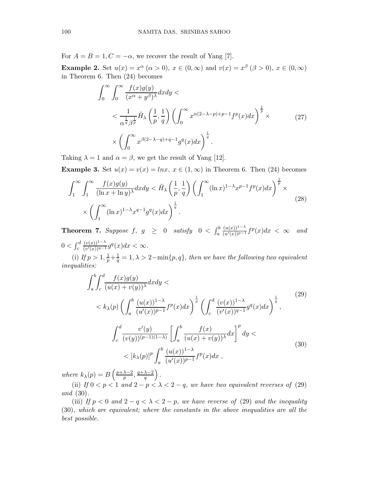For  $A = B = 1, C = -\alpha$ , we recover the result of Yang [7].

**Example 2.** Set  $u(x) = x^{\alpha}$   $(\alpha > 0)$ ,  $x \in (0, \infty)$  and  $v(x) = x^{\beta}$   $(\beta > 0)$ ,  $x \in (0, \infty)$ in Theorem 6. Then (24) becomes

$$
\int_0^\infty \int_0^\infty \frac{f(x)g(y)}{(x^\alpha + y^\beta)^\lambda} dxdy \n
$$
< \frac{1}{\alpha^{\frac{1}{q}} \beta^{\frac{1}{p}}} \tilde{H}_\lambda \left(\frac{1}{p}, \frac{1}{q}\right) \left(\int_0^\infty x^{\alpha(2-\lambda-p)+p-1} f^p(x) dx\right)^{\frac{1}{p}} \times \left(\int_0^\infty x^{\beta(2-\lambda-q)+q-1} g^q(x) dx\right)^{\frac{1}{q}}.
$$
\n(27)
$$

Taking  $\lambda = 1$  and  $\alpha = \beta$ , we get the result of Yang [12].

Example 3. Set  $u(x) = v(x) = \ln x, x \in (1, \infty)$  in Theorem 6. Then (24) becomes

$$
\int_{1}^{\infty} \int_{1}^{\infty} \frac{f(x)g(y)}{(\ln x + \ln y)^{\lambda}} dx dy < \tilde{H}_{\lambda} \left(\frac{1}{p}, \frac{1}{q}\right) \left(\int_{1}^{\infty} (\ln x)^{1-\lambda} x^{p-1} f^{p}(x) dx\right)^{\frac{1}{p}} \times \left(\int_{1}^{\infty} (\ln x)^{1-\lambda} x^{q-1} g^{q}(x) dx\right)^{\frac{1}{q}}.
$$
\n(28)

**Theorem 7.** Suppose  $f, g \geq 0$  satisfy  $0 < \int_a^b$  $\frac{(u(x))^{1-\lambda}}{(u'(x))^{p-1}}f^p(x)dx < \infty$  and  $0 < \int_{c}^{d}$  $(v(x))^{1-\lambda}$  $\frac{(v(x))^{1-\lambda}}{(v'(x))^{q-1}}g^q(x)dx < \infty.$ 

(i) If  $p > 1$ ,  $\frac{1}{p} + \frac{1}{q} = 1$ ,  $\lambda > 2 - \min\{p, q\}$ , then we have the following two equivalent inequalities:

$$
\int_{a}^{b} \int_{c}^{d} \frac{f(x)g(y)}{(u(x) + v(y))^{\lambda}} dx dy \n< k_{\lambda}(p) \left( \int_{a}^{b} \frac{(u(x))^{1-\lambda}}{(u'(x))^{p-1}} f^{p}(x) dx \right)^{\frac{1}{p}} \left( \int_{c}^{d} \frac{(v(x))^{1-\lambda}}{(v'(x))^{q-1}} g^{q}(x) dx \right)^{\frac{1}{q}},
$$
\n
$$
\int_{c}^{d} \frac{v'(y)}{(v(y))^{(p-1)(1-\lambda)}} \left[ \int_{a}^{b} \frac{f(x)}{(u(x) + v(y))^{\lambda}} dx \right]^{p} dy \n< [k_{\lambda}(p)]^{p} \int_{a}^{b} \frac{(u(x))^{1-\lambda}}{(u'(x))^{p-1}} f^{p}(x) dx ,
$$
\n(30)

where  $k_{\lambda}(p) = B\left(\frac{p+\lambda-2}{p}\right)$  $\frac{\lambda-2}{p}$ ,  $\frac{q+\lambda-2}{q}$  $\frac{\lambda-2}{q}$ .

(ii) If  $0 < p < 1$  and  $2 - p < \lambda < 2 - q$ , we have two equivalent reverses of (29) and (30).

(iii) If  $p < 0$  and  $2 - q < \lambda < 2 - p$ , we have reverse of (29) and the inequality (30), which are equivalent; where the constants in the above inequalities are all the best possible.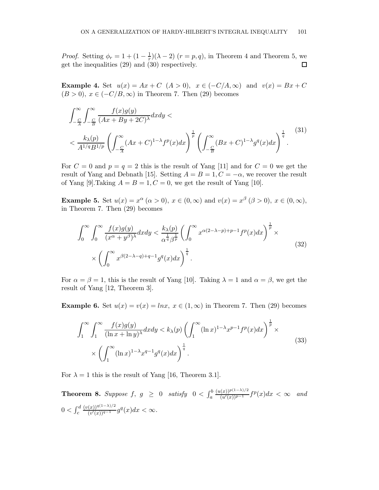*Proof.* Setting  $\phi_r = 1 + (1 - \frac{1}{r})$  $\frac{1}{r}(\lambda - 2)$   $(r = p, q)$ , in Theorem 4 and Theorem 5, we get the inequalities (29) and (30) respectively.  $\Box$ 

Example 4. Set  $u(x) = Ax + C$   $(A > 0)$ ,  $x \in (-C/A, \infty)$  and  $v(x) = Bx + C$  $(B > 0)$ ,  $x \in (-C/B, \infty)$  in Theorem 7. Then (29) becomes

$$
\int_{-\frac{C}{A}}^{\infty} \int_{-\frac{C}{B}}^{\infty} \frac{f(x)g(y)}{(Ax + By + 2C)^{\lambda}} dx dy \n< \frac{k_{\lambda}(p)}{A^{1/q}B^{1/p}} \left( \int_{-\frac{C}{A}}^{\infty} (Ax + C)^{1-\lambda} f^{p}(x) dx \right)^{\frac{1}{p}} \left( \int_{-\frac{C}{B}}^{\infty} (Bx + C)^{1-\lambda} g^{q}(x) dx \right)^{\frac{1}{q}}.
$$
\n(31)

For  $C = 0$  and  $p = q = 2$  this is the result of Yang [11] and for  $C = 0$  we get the result of Yang and Debnath [15]. Setting  $A = B = 1, C = -\alpha$ , we recover the result of Yang [9]. Taking  $A = B = 1, C = 0$ , we get the result of Yang [10].

**Example 5.** Set  $u(x) = x^{\alpha}$   $(\alpha > 0)$ ,  $x \in (0, \infty)$  and  $v(x) = x^{\beta}$   $(\beta > 0)$ ,  $x \in (0, \infty)$ , in Theorem 7. Then (29) becomes

$$
\int_0^\infty \int_0^\infty \frac{f(x)g(y)}{(x^\alpha + y^\beta)^\lambda} dx dy < \frac{k_\lambda(p)}{\alpha^{\frac{1}{q}} \beta^{\frac{1}{p}}} \left( \int_0^\infty x^{\alpha(2-\lambda-p)+p-1} f^p(x) dx \right)^{\frac{1}{p}} \times \left( \int_0^\infty x^{\beta(2-\lambda-q)+q-1} g^q(x) dx \right)^{\frac{1}{q}}.
$$
\n
$$
(32)
$$

For  $\alpha = \beta = 1$ , this is the result of Yang [10]. Taking  $\lambda = 1$  and  $\alpha = \beta$ , we get the result of Yang [12, Theorem 3].

Example 6. Set  $u(x) = v(x) = \ln x$ ,  $x \in (1,\infty)$  in Theorem 7. Then (29) becomes

$$
\int_{1}^{\infty} \int_{1}^{\infty} \frac{f(x)g(y)}{(\ln x + \ln y)^{\lambda}} dx dy < k_{\lambda}(p) \left( \int_{1}^{\infty} (\ln x)^{1-\lambda} x^{p-1} f^{p}(x) dx \right)^{\frac{1}{p}} \times \left( \int_{1}^{\infty} (\ln x)^{1-\lambda} x^{q-1} g^{q}(x) dx \right)^{\frac{1}{q}}.
$$
\n(33)

For  $\lambda = 1$  this is the result of Yang [16, Theorem 3.1].

**Theorem 8.** Suppose  $f, g \geq 0$  satisfy  $0 < \int_a^b$  $\frac{(u(x))^{p(1-\lambda)/2}}{(u'(x))^{p-1}} f^p(x) dx < \infty$  and  $0 < \int_{c}^{d}$  $(v(x))^{q(1-\lambda)/2}$  $\frac{(x))^{q(1-\lambda)/2}}{(v'(x))^{q-1}} g^q(x) dx < \infty.$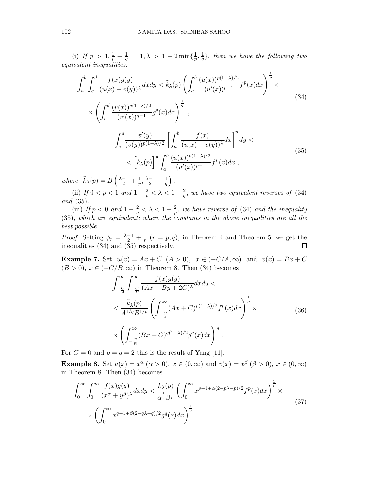(i) If  $p > 1, \frac{1}{p} + \frac{1}{q}$  $\frac{1}{q}\,=\,1, \lambda \,>\, 1\,-\,2\min\{\frac{1}{p}\}$  $\frac{1}{p},\frac{1}{q}$  $\frac{1}{q}$ , then we have the following two equivalent inequalities:

$$
\int_{a}^{b} \int_{c}^{d} \frac{f(x)g(y)}{(u(x)+v(y))^{\lambda}} dx dy < \tilde{k}_{\lambda}(p) \left( \int_{a}^{b} \frac{(u(x))^{p(1-\lambda)/2}}{(u'(x))^{p-1}} f^{p}(x) dx \right)^{\frac{1}{p}} \times
$$
\n
$$
\times \left( \int_{c}^{d} \frac{(v(x))^{q(1-\lambda)/2}}{(v'(x))^{q-1}} g^{q}(x) dx \right)^{\frac{1}{q}},
$$
\n
$$
\int_{c}^{d} \frac{v'(y)}{(v(y))^{p(1-\lambda)/2}} \left[ \int_{a}^{b} \frac{f(x)}{(u(x)+v(y))^{\lambda}} dx \right]^{p} dy <
$$
\n
$$
< \left[ \tilde{k}_{\lambda}(p) \right]^{p} \int_{a}^{b} \frac{(u(x))^{p(1-\lambda)/2}}{(u'(x))^{p-1}} f^{p}(x) dx ,
$$
\n(35)

where  $\tilde{k}_{\lambda}(p) = B\left(\frac{\lambda-1}{2} + \frac{1}{p}, \frac{\lambda-1}{2} + \frac{1}{q}\right)$ .

(ii) If  $0 < p < 1$  and  $1 - \frac{2}{p} < \lambda < 1 - \frac{2}{q}$  $\frac{2}{q}$ , we have two equivalent reverses of (34) and (35).

(iii) If  $p < 0$  and  $1 - \frac{2}{q} < \lambda < 1 - \frac{2}{p}$  $\frac{2}{p}$ , we have reverse of (34) and the inequality (35), which are equivalent; where the constants in the above inequalities are all the best possible.

*Proof.* Setting  $\phi_r = \frac{\lambda - 1}{2} + \frac{1}{r}$  $\frac{1}{r}$   $(r = p, q)$ , in Theorem 4 and Theorem 5, we get the inequalities (34) and (35) respectively.  $\Box$ 

**Example 7.** Set  $u(x) = Ax + C$   $(A > 0)$ ,  $x \in (-C/A, \infty)$  and  $v(x) = Bx + C$  $(B > 0)$ ,  $x \in (-C/B, \infty)$  in Theorem 8. Then (34) becomes

$$
\int_{-\frac{C}{A}}^{\infty} \int_{-\frac{C}{B}}^{\infty} \frac{f(x)g(y)}{(Ax + By + 2C)^{\lambda}} dx dy \n< \frac{\tilde{k}_{\lambda}(p)}{A^{1/q}B^{1/p}} \left( \int_{-\frac{C}{A}}^{\infty} (Ax + C)^{p(1-\lambda)/2} f^{p}(x) dx \right)^{\frac{1}{p}} \times \n\times \left( \int_{-\frac{C}{B}}^{\infty} (Bx + C)^{q(1-\lambda)/2} g^{q}(x) dx \right)^{\frac{1}{q}}.
$$
\n(36)

For  $C = 0$  and  $p = q = 2$  this is the result of Yang [11].

**Example 8.** Set  $u(x) = x^{\alpha}$   $(\alpha > 0)$ ,  $x \in (0, \infty)$  and  $v(x) = x^{\beta}$   $(\beta > 0)$ ,  $x \in (0, \infty)$ in Theorem 8. Then (34) becomes

$$
\int_0^\infty \int_0^\infty \frac{f(x)g(y)}{(x^\alpha + y^\beta)^\lambda} dx dy < \frac{\tilde{k}_\lambda(p)}{\alpha^{\frac{1}{q}} \beta^{\frac{1}{p}}} \left( \int_0^\infty x^{p-1+\alpha(2-p\lambda-p)/2} f^p(x) dx \right)^{\frac{1}{p}} \times \times \left( \int_0^\infty x^{q-1+\beta(2-q\lambda-q)/2} g^q(x) dx \right)^{\frac{1}{q}}.
$$
\n(37)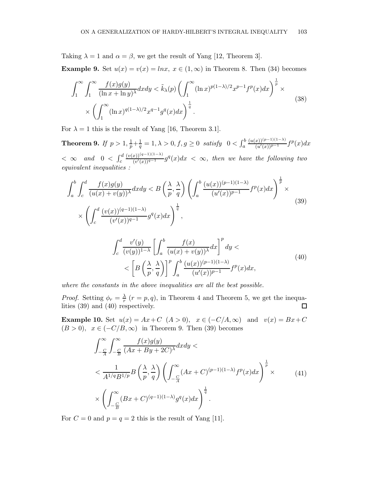Taking  $\lambda = 1$  and  $\alpha = \beta$ , we get the result of Yang [12, Theorem 3].

Example 9. Set  $u(x) = v(x) = \ln x$ ,  $x \in (1,\infty)$  in Theorem 8. Then (34) becomes

$$
\int_{1}^{\infty} \int_{1}^{\infty} \frac{f(x)g(y)}{(\ln x + \ln y)^{\lambda}} dx dy < \tilde{k}_{\lambda}(p) \left( \int_{1}^{\infty} (\ln x)^{p(1-\lambda)/2} x^{p-1} f^{p}(x) dx \right)^{\frac{1}{p}} \times \left( \int_{1}^{\infty} (\ln x)^{q(1-\lambda)/2} x^{q-1} g^{q}(x) dx \right)^{\frac{1}{q}}.
$$
\n(38)

For  $\lambda = 1$  this is the result of Yang [16, Theorem 3.1].

Theorem 9. If  $p>1, \frac{1}{p}+\frac{1}{q}$  $\frac{1}{q} = 1, \lambda > 0, f, g \ge 0$  satisfy  $0 < \int_a^b$  $\frac{(u(x))^{(p-1)(1-\lambda)}}{(u'(x))^{p-1}}f^p(x)dx$  $< \infty$  and  $0 < \int_{c}^{d}$  $(v(x))^{(q-1)(1-\lambda)}$  $\frac{(v'(x))^{(q-1)(1-\lambda)}}{(v'(x))^{q-1}}g^q(x)dx < \infty$ , then we have the following two equivalent inequalities :

$$
\int_{a}^{b} \int_{c}^{d} \frac{f(x)g(y)}{(u(x)+v(y))^{\lambda}} dx dy < B\left(\frac{\lambda}{p}, \frac{\lambda}{q}\right) \left(\int_{a}^{b} \frac{(u(x))^{(p-1)(1-\lambda)}}{(u'(x))^{p-1}} f^{p}(x) dx\right)^{\frac{1}{p}} \times
$$
\n
$$
\times \left(\int_{c}^{d} \frac{(v(x))^{(q-1)(1-\lambda)}}{(v'(x))^{q-1}} g^{q}(x) dx\right)^{\frac{1}{q}},
$$
\n
$$
\int_{c}^{d} \frac{v'(y)}{(v(y))^{1-\lambda}} \left[\int_{a}^{b} \frac{f(x)}{(u(x)+v(y))^{\lambda}} dx\right]^{p} dy <
$$
\n
$$
< \left[B\left(\frac{\lambda}{p}, \frac{\lambda}{q}\right)\right]^{p} \int_{a}^{b} \frac{(u(x))^{(p-1)(1-\lambda)}}{(u'(x))^{p-1}} f^{p}(x) dx,
$$
\n(40)

where the constants in the above inequalities are all the best possible.

*Proof.* Setting  $\phi_r = \frac{\lambda}{r}$  $\frac{\lambda}{r}$  ( $r = p, q$ ), in Theorem 4 and Theorem 5, we get the inequalities (39) and (40) respectively.  $\Box$ 

Example 10. Set  $u(x) = Ax + C$   $(A > 0)$ ,  $x \in (-C/A, \infty)$  and  $v(x) = Bx + C$  $(B > 0)$ ,  $x \in (-C/B, \infty)$  in Theorem 9. Then (39) becomes

$$
\int_{-\frac{C}{A}}^{\infty} \int_{-\frac{C}{B}}^{\infty} \frac{f(x)g(y)}{(Ax + By + 2C)^{\lambda}} dx dy \n< \frac{1}{A^{1/q}B^{1/p}} B\left(\frac{\lambda}{p}, \frac{\lambda}{q}\right) \left(\int_{-\frac{C}{A}}^{\infty} (Ax + C)^{(p-1)(1-\lambda)} f^{p}(x) dx\right)^{\frac{1}{p}} \times \left(\int_{-\frac{C}{B}}^{\infty} (Bx + C)^{(q-1)(1-\lambda)} g^{q}(x) dx\right)^{\frac{1}{q}}.
$$
\n(41)

For  $C = 0$  and  $p = q = 2$  this is the result of Yang [11].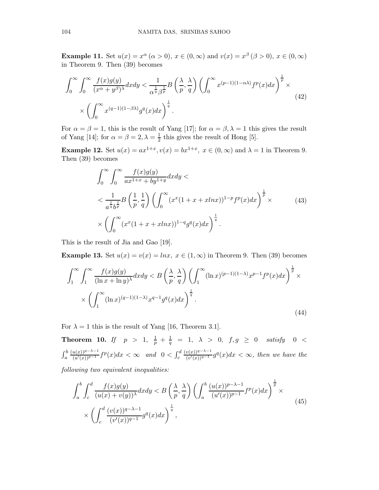**Example 11.** Set  $u(x) = x^{\alpha}$   $(\alpha > 0)$ ,  $x \in (0, \infty)$  and  $v(x) = x^{\beta}$   $(\beta > 0)$ ,  $x \in (0, \infty)$ in Theorem 9. Then (39) becomes

$$
\int_0^\infty \int_0^\infty \frac{f(x)g(y)}{(x^\alpha + y^\beta)^\lambda} dx dy < \frac{1}{\alpha^{\frac{1}{q}} \beta^{\frac{1}{p}}} B\left(\frac{\lambda}{p}, \frac{\lambda}{q}\right) \left(\int_0^\infty x^{(p-1)(1-\alpha\lambda)} f^p(x) dx\right)^{\frac{1}{p}} \times
$$
\n
$$
\times \left(\int_0^\infty x^{(q-1)(1-\beta\lambda)} g^q(x) dx\right)^{\frac{1}{q}}.
$$
\n(42)

For  $\alpha = \beta = 1$ , this is the result of Yang [17]; for  $\alpha = \beta, \lambda = 1$  this gives the result of Yang [14]; for  $\alpha = \beta = 2, \lambda = \frac{1}{2}$  $\frac{1}{2}$  this gives the result of Hong [5].

**Example 12.** Set  $u(x) = ax^{1+x}$ ,  $v(x) = bx^{1+x}$ ,  $x \in (0, \infty)$  and  $\lambda = 1$  in Theorem 9. Then (39) becomes

$$
\int_0^\infty \int_0^\infty \frac{f(x)g(y)}{ax^{1+x} + by^{1+y}} dxdy \n
$$
< \frac{1}{a^{\frac{1}{q}}b^{\frac{1}{p}}} B\left(\frac{1}{p}, \frac{1}{q}\right) \left(\int_0^\infty (x^x(1+x+ xlnx))^{1-p} f^p(x) dx\right)^{\frac{1}{p}} \times
$$
\n
$$
\times \left(\int_0^\infty (x^x(1+x+ xlnx))^{1-q} g^q(x) dx\right)^{\frac{1}{q}}.
$$
\n(43)
$$

This is the result of Jia and Gao [19].

**Example 13.** Set  $u(x) = v(x) = \ln x$ ,  $x \in (1, \infty)$  in Theorem 9. Then (39) becomes

$$
\int_{1}^{\infty} \int_{1}^{\infty} \frac{f(x)g(y)}{(\ln x + \ln y)^{\lambda}} dx dy < B\left(\frac{\lambda}{p}, \frac{\lambda}{q}\right) \left(\int_{1}^{\infty} (\ln x)^{(p-1)(1-\lambda)} x^{p-1} f^p(x) dx\right)^{\frac{1}{p}} \times \left(\int_{1}^{\infty} (\ln x)^{(q-1)(1-\lambda)} x^{q-1} g^q(x) dx\right)^{\frac{1}{q}}.
$$
\n(44)

For  $\lambda = 1$  this is the result of Yang [16, Theorem 3.1].

**Theorem 10.** If  $p > 1$ ,  $\frac{1}{p} + \frac{1}{q}$  $\frac{1}{q}$  = 1,  $\lambda$  > 0,  $f,g$   $\geq$  0 satisfy 0 <  $\int_a^b$  $\frac{(u(x))^{p-\lambda-1}}{(u'(x))^{p-1}}f^p(x)dx < \infty$  and  $0 < \int_c^d$  $(v(x))^{q-\lambda-1}$  $\frac{\partial v(x)}{\partial y^{i}(x)}\frac{q^{q}(x)}{q-x-i}g^{q}(x)dx < \infty$ , then we have the

following two equivalent inequalities:

$$
\int_{a}^{b} \int_{c}^{d} \frac{f(x)g(y)}{(u(x)+v(y))^\lambda} dx dy < B\left(\frac{\lambda}{p}, \frac{\lambda}{q}\right) \left(\int_{a}^{b} \frac{(u(x))^{p-\lambda-1}}{(u'(x))^{p-1}} f^p(x) dx\right)^{\frac{1}{p}} \times \left(\int_{c}^{d} \frac{(v(x))^{q-\lambda-1}}{(v'(x))^{q-1}} g^q(x) dx\right)^{\frac{1}{q}},\tag{45}
$$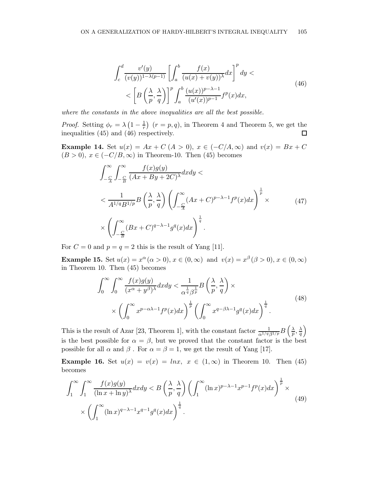$$
\int_{c}^{d} \frac{v'(y)}{(v(y))^{1-\lambda(p-1)}} \left[ \int_{a}^{b} \frac{f(x)}{(u(x)+v(y))^{\lambda}} dx \right]^{p} dy \n< \left[ B\left(\frac{\lambda}{p}, \frac{\lambda}{q}\right) \right]^{p} \int_{a}^{b} \frac{(u(x))^{p-\lambda-1}}{(u'(x))^{p-1}} f^{p}(x) dx,
$$
\n(46)

where the constants in the above inequalities are all the best possible.

*Proof.* Setting  $\phi_r = \lambda \left(1 - \frac{1}{r}\right)$  $\frac{1}{r}$   $(r = p, q)$ , in Theorem 4 and Theorem 5, we get the inequalities (45) and (46) respectively.  $\Box$ 

**Example 14.** Set  $u(x) = Ax + C (A > 0), x \in (-C/A, \infty)$  and  $v(x) = Bx + C$  $(B > 0)$ ,  $x \in (-C/B, \infty)$  in Theorem-10. Then (45) becomes

$$
\int_{-\frac{C}{A}}^{\infty} \int_{-\frac{C}{B}}^{\infty} \frac{f(x)g(y)}{(Ax + By + 2C)^{\lambda}} dx dy \n< \frac{1}{A^{1/q}B^{1/p}} B\left(\frac{\lambda}{p}, \frac{\lambda}{q}\right) \left(\int_{-\frac{C}{A}}^{\infty} (Ax + C)^{p-\lambda-1} f^{p}(x) dx\right)^{\frac{1}{p}} \times \left(\int_{-\frac{C}{B}}^{\infty} (Bx + C)^{q-\lambda-1} g^{q}(x) dx\right)^{\frac{1}{q}}.
$$
\n(47)

For  $C = 0$  and  $p = q = 2$  this is the result of Yang [11].

**Example 15.** Set  $u(x) = x^{\alpha} (\alpha > 0)$ ,  $x \in (0, \infty)$  and  $v(x) = x^{\beta} (\beta > 0)$ ,  $x \in (0, \infty)$ in Theorem 10. Then (45) becomes

$$
\int_0^\infty \int_0^\infty \frac{f(x)g(y)}{(x^\alpha + y^\beta)^\lambda} dx dy < \frac{1}{\alpha^{\frac{1}{q}} \beta^{\frac{1}{p}}} B\left(\frac{\lambda}{p}, \frac{\lambda}{q}\right) \times \times \left(\int_0^\infty x^{p-\alpha\lambda-1} f^p(x) dx\right)^{\frac{1}{p}} \left(\int_0^\infty x^{q-\beta\lambda-1} g^q(x) dx\right)^{\frac{1}{q}}.
$$
\n(48)

This is the result of Azar [23, Theorem 1], with the constant factor  $\frac{1}{\alpha^{1/q} \beta^{1/p}} B\left(\frac{\lambda}{p}\right)$  $\frac{\lambda}{p},\frac{\lambda}{q}$  $\frac{\lambda}{q}\bigg)$ is the best possible for  $\alpha = \beta$ , but we proved that the constant factor is the best possible for all  $\alpha$  and  $\beta$ . For  $\alpha = \beta = 1$ , we get the result of Yang [17].

Example 16. Set  $u(x) = v(x) = \ln x$ ,  $x \in (1,\infty)$  in Theorem 10. Then (45) becomes

$$
\int_{1}^{\infty} \int_{1}^{\infty} \frac{f(x)g(y)}{(\ln x + \ln y)^{\lambda}} dx dy < B\left(\frac{\lambda}{p}, \frac{\lambda}{q}\right) \left(\int_{1}^{\infty} (\ln x)^{p-\lambda-1} x^{p-1} f^p(x) dx\right)^{\frac{1}{p}} \times \left(\int_{1}^{\infty} (\ln x)^{q-\lambda-1} x^{q-1} g^q(x) dx\right)^{\frac{1}{q}}.
$$
\n(49)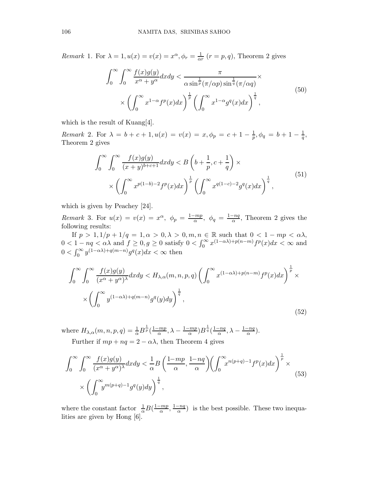Remark 1. For  $\lambda = 1, u(x) = v(x) = x^{\alpha}, \phi_r = \frac{1}{\alpha}$  $\frac{1}{\alpha r}$   $(r = p, q)$ , Theorem 2 gives

$$
\int_0^\infty \int_0^\infty \frac{f(x)g(y)}{x^\alpha + y^\alpha} dx dy < \frac{\pi}{\alpha \sin^{\frac{1}{p}} (\pi/\alpha p) \sin^{\frac{1}{q}} (\pi/\alpha q)} \times \left( \int_0^\infty x^{1-\alpha} f^p(x) dx \right)^{\frac{1}{p}} \left( \int_0^\infty x^{1-\alpha} g^q(x) dx \right)^{\frac{1}{q}},
$$
\n
$$
(50)
$$

which is the result of Kuang[4].

Remark 2. For  $\lambda = b + c + 1, u(x) = v(x) = x, \phi_p = c + 1 - \frac{1}{p}, \phi_q = b + 1 - \frac{1}{q},$ Theorem 2 gives

$$
\int_0^\infty \int_0^\infty \frac{f(x)g(y)}{(x+y)^{b+c+1}} dx dy < B\left(b + \frac{1}{p}, c + \frac{1}{q}\right) \times \\
\times \left(\int_0^\infty x^{p(1-b)-2} f^p(x) dx\right)^{\frac{1}{p}} \left(\int_0^\infty x^{q(1-c)-2} g^q(x) dx\right)^{\frac{1}{q}},\n\tag{51}
$$

which is given by Peachey [24].

Remark 3. For  $u(x) = v(x) = x^{\alpha}, \ \phi_p = \frac{1 - mp}{\alpha}$  $\frac{(-mp)}{\alpha}$ ,  $\phi_q = \frac{1-nq}{\alpha}$  $\frac{-nq}{\alpha}$ , Theorem 2 gives the following results:

If  $p > 1$ ,  $1/p + 1/q = 1, \alpha > 0, \lambda > 0, m, n \in \mathbb{R}$  such that  $0 < 1 - mp < \alpha\lambda$ ,  $0 < 1 - nq < \alpha\lambda$  and  $f \ge 0, g \ge 0$  satisfy  $0 < \int_0^\infty x^{(1-\alpha\lambda)+p(n-m)} f^p(x) dx < \infty$  and  $0 < \int_0^\infty y^{(1-\alpha\lambda)+q(m-n)} g^q(x) dx < \infty$  then

$$
\int_0^\infty \int_0^\infty \frac{f(x)g(y)}{(x^\alpha + y^\alpha)^\lambda} dxdy \le H_{\lambda,\alpha}(m,n,p,q) \left( \int_0^\infty x^{(1-\alpha\lambda)+p(n-m)} f^p(x) dx \right)^{\frac{1}{p}} \times \left( \int_0^\infty y^{(1-\alpha\lambda)+q(m-n)} g^q(y) dy \right)^{\frac{1}{q}},
$$
\n
$$
(52)
$$

where  $H_{\lambda,\alpha}(m,n,p,q) = \frac{1}{\alpha} B^{\frac{1}{p}} \left( \frac{1 - mp}{\alpha} \right)$  $\frac{(-mp)}{\alpha}, \lambda - \frac{1-mp}{\alpha}$  $\frac{(-mp)}{\alpha}$ ) $B^{\frac{1}{q}}(\frac{1-nq}{\alpha})$  $\frac{-nq}{\alpha}, \lambda - \frac{1-nq}{\alpha}$  $\frac{-nq}{\alpha}$ ). Further if  $mp + nq = 2 - \alpha\lambda$ , then Theorem 4 gives

$$
\int_0^\infty \int_0^\infty \frac{f(x)g(y)}{(x^\alpha + y^\alpha)^\lambda} dx dy < \frac{1}{\alpha} B\left(\frac{1 - mp}{\alpha}, \frac{1 - nq}{\alpha}\right) \left(\int_0^\infty x^{n(p+q)-1} f^p(x) dx\right)^{\frac{1}{p}} \times \left(\int_0^\infty y^{m(p+q)-1} g^q(y) dy\right)^{\frac{1}{q}},\tag{53}
$$

where the constant factor  $\frac{1}{\alpha}B(\frac{1-mp}{\alpha})$  $rac{-mp}{\alpha}, \frac{1-nq}{\alpha}$  $\frac{-nq}{\alpha}$ ) is the best possible. These two inequalities are given by Hong [6].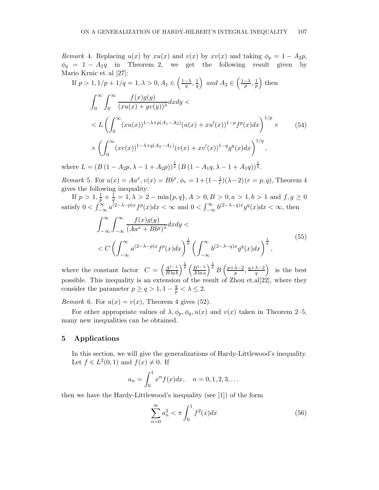Remark 4. Replacing  $u(x)$  by  $xu(x)$  and  $v(x)$  by  $xv(x)$  and taking  $\phi_p = 1 - A_2p$ ,  $\phi_q = 1 - A_1 q$  in Theorem 2, we get the following result given by Mario Krnic et. al [27]:  $\sqrt{1}$ 

If 
$$
p > 1, 1/p + 1/q = 1, \lambda > 0, A_1 \in \left(\frac{1-\lambda}{q}, \frac{1}{q}\right)
$$
 and  $A_2 \in \left(\frac{1-\lambda}{p}, \frac{1}{p}\right)$  then  
\n
$$
\int_0^\infty \int_0^\infty \frac{f(x)g(y)}{(xu(x) + yv(y))^\lambda} dxdy \n $\leq L \left( \int_0^\infty (xu(x))^{1-\lambda+p(A_1-A_2)} (u(x) + xu'(x))^{1-p} f^p(x) dx \right)^{1/p} \times$  (54)  
\n $\times \left( \int_0^\infty (xv(x))^{1-\lambda+q(A_2-A_1)} (v(x) + xv'(x))^{1-q} g^q(x) dx \right)^{1/q},$
$$

where  $L = (B(1 - A_2p, \lambda - 1 + A_2p))^{\frac{1}{p}} (B(1 - A_1q, \lambda - 1 + A_1q))^{\frac{1}{q}}$ .

*Remark* 5. For  $u(x) = Aa^x, v(x) = Bb^x, \phi_r = 1 + (1 - \frac{1}{r})$  $(\frac{1}{r})(\lambda-2)(r=p,q)$ , Theorem 4 gives the following inequality:

If  $p > 1, \frac{1}{p} + \frac{1}{q}$  $\frac{1}{q} = 1, \lambda > 2 - \min\{p, q\}, A > 0, B > 0, a > 1, b > 1$  and  $f, g \ge 0$ satisfy  $0 < \int_{-\infty}^{\infty} a^{(2-\lambda-p)x} f^p(x) dx < \infty$  and  $0 < \int_{-\infty}^{\infty} b^{(2-\lambda-q)x} g^q(x) dx < \infty$ , then

$$
\int_{-\infty}^{\infty} \int_{-\infty}^{\infty} \frac{f(x)g(y)}{(Aa^x + Bb^y)^{\lambda}} dx dy \n< C \left( \int_{-\infty}^{\infty} a^{(2-\lambda-p)x} f^p(x) dx \right)^{\frac{1}{p}} \left( \int_{-\infty}^{\infty} b^{(2-\lambda-q)x} g^q(x) dx \right)^{\frac{1}{q}},
$$
\n(55)

where the constant factor  $C = \left(\frac{A^{1-\lambda}}{B \ln h}\right)$  $\frac{A^{1-\lambda}}{B\ln b}\bigg)^{\frac{1}{p}}\left(\frac{B^{1-\lambda}}{A\ln a}\right)$  $\frac{B^{1-\lambda}}{A\ln a}\Big)^{\frac{1}{q}} B\left(\frac{p+\lambda-2}{p}\right)$  $\frac{\lambda-2}{p}$ ,  $\frac{q+\lambda-2}{q}$  $\left(\frac{\lambda-2}{q}\right)$  is the best possible. This inequality is an extension of the result of Zhou et.al[22], where they consider the parameter  $p \ge q > 1, 1 - \frac{q}{p} < \lambda \le 2$ .

Remark 6. For  $u(x) = v(x)$ , Theorem 4 gives (52).

For other appropriate values of  $\lambda, \phi_p, \phi_q, u(x)$  and  $v(x)$  taken in Theorem 2–5, many new inequalities can be obtained.

### 5 Applications

In this section, we will give the generalizations of Hardy-Littlewood's inequality. Let  $f \in L^2(0,1)$  and  $f(x) \neq 0$ . If

$$
a_n = \int_0^1 x^n f(x) dx, \quad n = 0, 1, 2, 3, \dots
$$

then we have the Hardy-Littlewood's inequality (see [1]) of the form

$$
\sum_{n=0}^{\infty} a_n^2 < \pi \int_0^1 f^2(x) dx \tag{56}
$$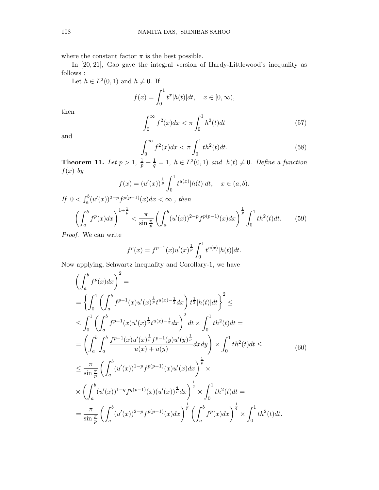where the constant factor  $\pi$  is the best possible.

In [20, 21], Gao gave the integral version of Hardy-Littlewood's inequality as follows :

Let  $h \in L^2(0,1)$  and  $h \neq 0$ . If

$$
f(x) = \int_0^1 t^x |h(t)| dt, \quad x \in [0, \infty),
$$

then

$$
\int_0^\infty f^2(x)dx < \pi \int_0^1 h^2(t)dt \tag{57}
$$

and

$$
\int_0^\infty f^2(x)dx < \pi \int_0^1 th^2(t)dt. \tag{58}
$$

**Theorem 11.** Let  $p > 1$ ,  $\frac{1}{p} + \frac{1}{q}$  $\frac{1}{q} = 1$ ,  $h \in L^2(0,1)$  and  $h(t) \neq 0$ . Define a function  $f(x)$  by

$$
f(x) = (u'(x))^\frac{1}{p} \int_0^1 t^{u(x)} |h(t)| dt, \quad x \in (a, b).
$$

If  $0 < \int_a^b (u'(x))^{2-p} f^{p(p-1)}(x) dx < \infty$ , then

$$
\left(\int_{a}^{b} f^{p}(x)dx\right)^{1+\frac{1}{p}} < \frac{\pi}{\sin\frac{\pi}{p}} \left(\int_{a}^{b} (u'(x))^{2-p} f^{p(p-1)}(x)dx\right)^{\frac{1}{p}} \int_{0}^{1} th^{2}(t)dt.
$$
 (59)

Proof. We can write

$$
f^{p}(x) = f^{p-1}(x)u'(x)^{\frac{1}{p}} \int_{0}^{1} t^{u(x)} |h(t)| dt.
$$

Now applying, Schwartz inequality and Corollary-1, we have

$$
\left(\int_{a}^{b} f^{p}(x) dx\right)^{2} =
$$
\n
$$
= \left\{\int_{0}^{1} \left(\int_{a}^{b} f^{p-1}(x) u'(x)^{\frac{1}{p}} t^{u(x)-\frac{1}{2}} dx\right) t^{\frac{1}{2}} |h(t)| dt\right\}^{2} \le
$$
\n
$$
\leq \int_{0}^{1} \left(\int_{a}^{b} f^{p-1}(x) u'(x)^{\frac{1}{p}} t^{u(x)-\frac{1}{2}} dx\right)^{2} dt \times \int_{0}^{1} th^{2}(t) dt =
$$
\n
$$
= \left(\int_{a}^{b} \int_{a}^{b} \frac{f^{p-1}(x) u'(x)^{\frac{1}{p}} f^{p-1}(y) u'(y)^{\frac{1}{p}}}{u(x)+u(y)} dx dy\right) \times \int_{0}^{1} th^{2}(t) dt \le
$$
\n
$$
\leq \frac{\pi}{\sin \frac{\pi}{p}} \left(\int_{a}^{b} (u'(x))^{1-p} f^{p(p-1)}(x) u'(x) dx\right)^{\frac{1}{p}} \times
$$
\n
$$
\times \left(\int_{a}^{b} (u'(x))^{1-q} f^{q(p-1)}(x) (u'(x))^{\frac{q}{p}} dx\right)^{\frac{1}{q}} \times \int_{0}^{1} th^{2}(t) dt =
$$
\n
$$
= \frac{\pi}{\sin \frac{\pi}{p}} \left(\int_{a}^{b} (u'(x))^{2-p} f^{p(p-1)}(x) dx\right)^{\frac{1}{p}} \left(\int_{a}^{b} f^{p}(x) dx\right)^{\frac{1}{q}} \times \int_{0}^{1} th^{2}(t) dt.
$$
\n(4.12)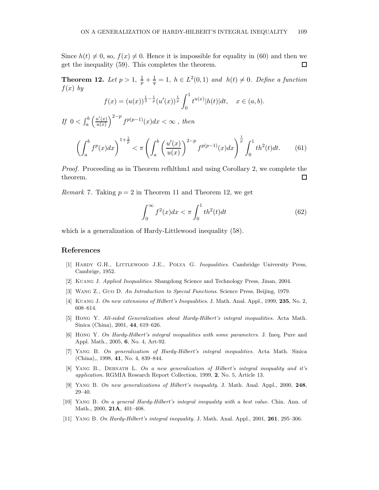Since  $h(t) \neq 0$ , so,  $f(x) \neq 0$ . Hence it is impossible for equality in (60) and then we get the inequality (59). This completes the theorem.  $\Box$ 

**Theorem 12.** Let  $p > 1$ ,  $\frac{1}{p} + \frac{1}{q}$  $\frac{1}{q} = 1$ ,  $h \in L^2(0,1)$  and  $h(t) \neq 0$ . Define a function  $f(x)$  by

$$
f(x) = (u(x))^{\frac{1}{2} - \frac{1}{p}} (u'(x))^{\frac{1}{p}} \int_0^1 t^{u(x)} |h(t)| dt, \quad x \in (a, b).
$$

If  $0 < \int_a^b \left( \frac{u'(x)}{u(x)} \right)$  $\frac{u'(x)}{u(x)}\Big)^{2-p} f^{p(p-1)}(x)dx < \infty$ , then

$$
\left(\int_{a}^{b} f^{p}(x)dx\right)^{1+\frac{1}{p}} < \pi \left(\int_{a}^{b} \left(\frac{u'(x)}{u(x)}\right)^{2-p} f^{p(p-1)}(x)dx\right)^{\frac{1}{p}} \int_{0}^{1} th^{2}(t)dt.
$$
 (61)

Proof. Proceeding as in Theorem refhlthm1 and using Corollary 2, we complete the theorem.  $\Box$ 

*Remark* 7. Taking  $p = 2$  in Theorem 11 and Theorem 12, we get

$$
\int_0^\infty f^2(x)dx < \pi \int_0^1 th^2(t)dt \tag{62}
$$

which is a generalization of Hardy-Littlewood inequality (58).

#### References

- [1] Hardy G.H., Littlewood J.E., Polya G. Inequalities. Cambridge University Press, Cambrige, 1952.
- [2] Kuang J. Applied Inequalities. Shangdong Science and Technology Press, Jinan, 2004.
- [3] Wang Z., Guo D. An Introduction to Special Functions. Science Press, Beijing, 1979.
- [4] KUANG J. On new extensions of Hilbert's Inequalities. J. Math. Anal. Appl., 1999, 235, No. 2, 608–614.
- [5] Hong Y. All-sided Generalization about Hardy-Hilbert's integral inequalities. Acta Math. Sinica (China), 2001, 44, 619–626.
- [6] Hong Y. On Hardy-Hilbert's integral inequalities with some parameters. J. Ineq. Pure and Appl. Math., 2005, 6, No. 4, Art-92.
- [7] Yang B. On generalization of Hardy-Hilbert's integral inequalities. Acta Math. Sinica (China),, 1998, 41, No. 4, 839–844.
- [8] YANG B., DEBNATH L. On a new generalization of Hilbert's integral inequality and it's application. RGMIA Research Report Collection, 1999, 2, No. 5, Article 13.
- [9] Yang B. On new generalizations of Hilbert's inequality. J. Math. Anal. Appl., 2000, 248, 29–40.
- [10] Yang B. On a general Hardy-Hilbert's integral inequality with a best value. Chin. Ann. of Math., 2000, 21A, 401–408.
- [11] YANG B. On Hardy-Hilbert's integral inequality. J. Math. Anal. Appl., 2001, 261, 295–306.